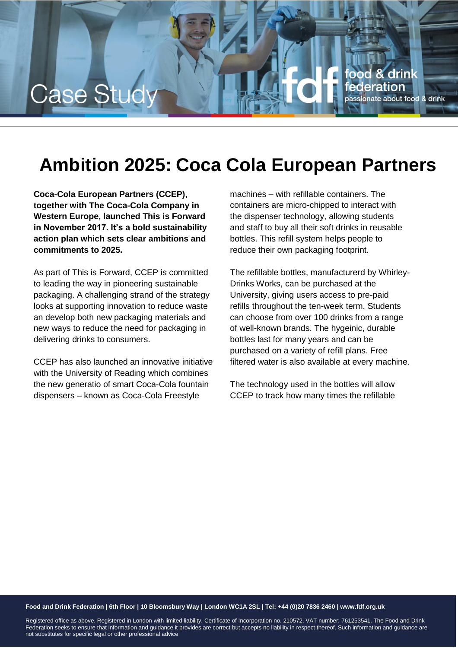

## **Ambition 2025: Coca Cola European Partners**

**Coca-Cola European Partners (CCEP), together with The Coca-Cola Company in Western Europe, launched This is Forward in November 2017. It's a bold sustainability action plan which sets clear ambitions and commitments to 2025.**

As part of This is Forward, CCEP is committed to leading the way in pioneering sustainable packaging. A challenging strand of the strategy looks at supporting innovation to reduce waste an develop both new packaging materials and new ways to reduce the need for packaging in delivering drinks to consumers.

CCEP has also launched an innovative initiative with the University of Reading which combines the new generatio of smart Coca-Cola fountain dispensers – known as Coca-Cola Freestyle

machines – with refillable containers. The containers are micro-chipped to interact with the dispenser technology, allowing students and staff to buy all their soft drinks in reusable bottles. This refill system helps people to reduce their own packaging footprint.

The refillable bottles, manufacturerd by Whirley-Drinks Works, can be purchased at the University, giving users access to pre-paid refills throughout the ten-week term. Students can choose from over 100 drinks from a range of well-known brands. The hygeinic, durable bottles last for many years and can be purchased on a variety of refill plans. Free filtered water is also available at every machine.

The technology used in the bottles will allow CCEP to track how many times the refillable

## **Food and Drink Federation | 6th Floor | 10 Bloomsbury Way | London WC1A 2SL | Tel: +44 (0)20 7836 2460 | www.fdf.org.uk**

Registered office as above. Registered in London with limited liability. Certificate of Incorporation no. 210572. VAT number: 761253541. The Food and Drink Federation seeks to ensure that information and guidance it provides are correct but accepts no liability in respect thereof. Such information and guidance are not substitutes for specific legal or other professional advice